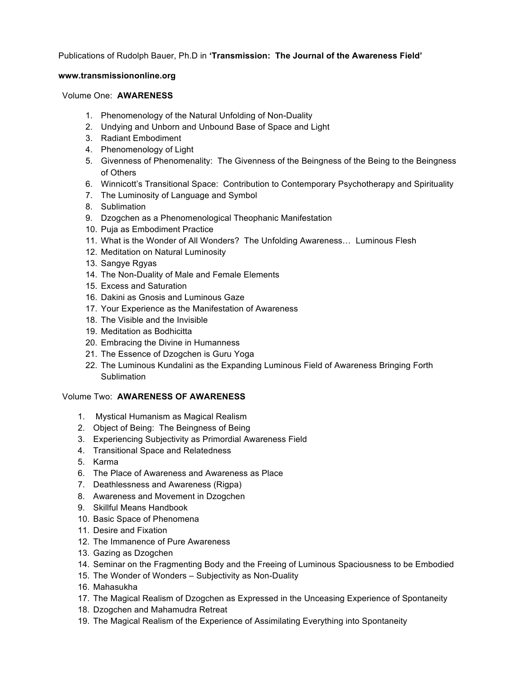Publications of Rudolph Bauer, Ph.D in **'Transmission: The Journal of the Awareness Field'**

## **www.transmissiononline.org**

### Volume One: **AWARENESS**

- 1. Phenomenology of the Natural Unfolding of Non-Duality
- 2. Undying and Unborn and Unbound Base of Space and Light
- 3. Radiant Embodiment
- 4. Phenomenology of Light
- 5. Givenness of Phenomenality: The Givenness of the Beingness of the Being to the Beingness of Others
- 6. Winnicott's Transitional Space: Contribution to Contemporary Psychotherapy and Spirituality
- 7. The Luminosity of Language and Symbol
- 8. Sublimation
- 9. Dzogchen as a Phenomenological Theophanic Manifestation
- 10. Puja as Embodiment Practice
- 11. What is the Wonder of All Wonders? The Unfolding Awareness… Luminous Flesh
- 12. Meditation on Natural Luminosity
- 13. Sangye Rgyas
- 14. The Non-Duality of Male and Female Elements
- 15. Excess and Saturation
- 16. Dakini as Gnosis and Luminous Gaze
- 17. Your Experience as the Manifestation of Awareness
- 18. The Visible and the Invisible
- 19. Meditation as Bodhicitta
- 20. Embracing the Divine in Humanness
- 21. The Essence of Dzogchen is Guru Yoga
- 22. The Luminous Kundalini as the Expanding Luminous Field of Awareness Bringing Forth **Sublimation**

# Volume Two: **AWARENESS OF AWARENESS**

- 1. Mystical Humanism as Magical Realism
- 2. Object of Being: The Beingness of Being
- 3. Experiencing Subjectivity as Primordial Awareness Field
- 4. Transitional Space and Relatedness
- 5. Karma
- 6. The Place of Awareness and Awareness as Place
- 7. Deathlessness and Awareness (Rigpa)
- 8. Awareness and Movement in Dzogchen
- 9. Skillful Means Handbook
- 10. Basic Space of Phenomena
- 11. Desire and Fixation
- 12. The Immanence of Pure Awareness
- 13. Gazing as Dzogchen
- 14. Seminar on the Fragmenting Body and the Freeing of Luminous Spaciousness to be Embodied
- 15. The Wonder of Wonders Subjectivity as Non-Duality
- 16. Mahasukha
- 17. The Magical Realism of Dzogchen as Expressed in the Unceasing Experience of Spontaneity
- 18. Dzogchen and Mahamudra Retreat
- 19. The Magical Realism of the Experience of Assimilating Everything into Spontaneity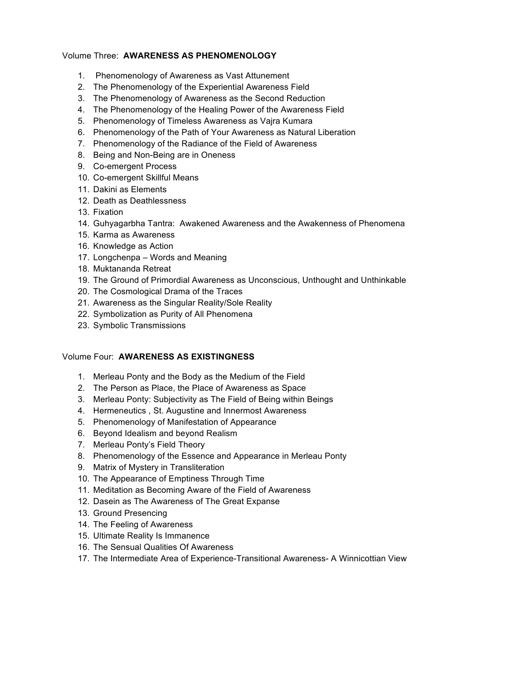### Volume Three: **AWARENESS AS PHENOMENOLOGY**

- 1. Phenomenology of Awareness as Vast Attunement
- 2. The Phenomenology of the Experiential Awareness Field
- 3. The Phenomenology of Awareness as the Second Reduction
- 4. The Phenomenology of the Healing Power of the Awareness Field
- 5. Phenomenology of Timeless Awareness as Vajra Kumara
- 6. Phenomenology of the Path of Your Awareness as Natural Liberation
- 7. Phenomenology of the Radiance of the Field of Awareness
- 8. Being and Non-Being are in Oneness
- 9. Co-emergent Process
- 10. Co-emergent Skillful Means
- 11. Dakini as Elements
- 12. Death as Deathlessness
- 13. Fixation
- 14. Guhyagarbha Tantra: Awakened Awareness and the Awakenness of Phenomena
- 15. Karma as Awareness
- 16. Knowledge as Action
- 17. Longchenpa Words and Meaning
- 18. Muktananda Retreat
- 19. The Ground of Primordial Awareness as Unconscious, Unthought and Unthinkable
- 20. The Cosmological Drama of the Traces
- 21. Awareness as the Singular Reality/Sole Reality
- 22. Symbolization as Purity of All Phenomena
- 23. Symbolic Transmissions

#### Volume Four: **AWARENESS AS EXISTINGNESS**

- 1. Merleau Ponty and the Body as the Medium of the Field
- 2. The Person as Place, the Place of Awareness as Space
- 3. Merleau Ponty: Subjectivity as The Field of Being within Beings
- 4. Hermeneutics , St. Augustine and Innermost Awareness
- 5. Phenomenology of Manifestation of Appearance
- 6. Beyond Idealism and beyond Realism
- 7. Merleau Ponty's Field Theory
- 8. Phenomenology of the Essence and Appearance in Merleau Ponty
- 9. Matrix of Mystery in Transliteration
- 10. The Appearance of Emptiness Through Time
- 11. Meditation as Becoming Aware of the Field of Awareness
- 12. Dasein as The Awareness of The Great Expanse
- 13. Ground Presencing
- 14. The Feeling of Awareness
- 15. Ultimate Reality Is Immanence
- 16. The Sensual Qualities Of Awareness
- 17. The Intermediate Area of Experience-Transitional Awareness- A Winnicottian View